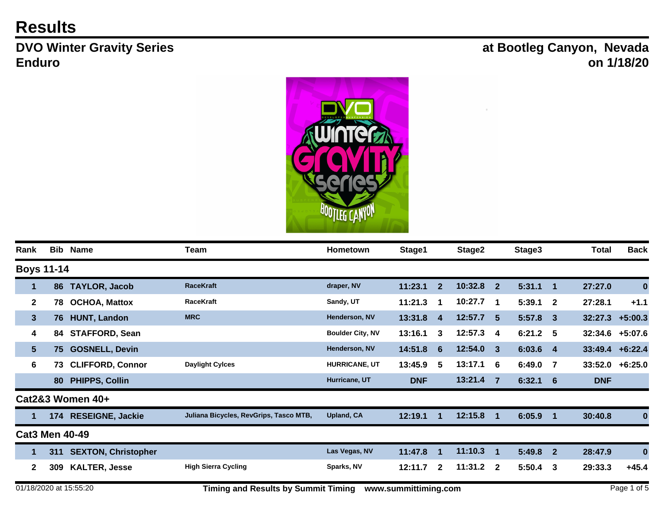## **Results**

## **DVO Winter Gravity Series Enduro**

## **at Bootleg Canyon, Nevada on 1/18/20**



| Rank                  | <b>Bib</b> | <b>Name</b>                | Team                                       | <b>Hometown</b>         | Stage1               |                  | Stage2      |                         | Stage3     |                | <b>Total</b> | <b>Back</b> |
|-----------------------|------------|----------------------------|--------------------------------------------|-------------------------|----------------------|------------------|-------------|-------------------------|------------|----------------|--------------|-------------|
| <b>Boys 11-14</b>     |            |                            |                                            |                         |                      |                  |             |                         |            |                |              |             |
| 1                     | 86         | <b>TAYLOR, Jacob</b>       | <b>RaceKraft</b>                           | draper, NV              | 11:23.1              | $\mathbf{2}$     | $10:32.8$ 2 |                         | 5:31.1     | $\overline{1}$ | 27:27.0      | $\bf{0}$    |
| $\mathbf{2}$          | 78         | <b>OCHOA, Mattox</b>       | <b>RaceKraft</b>                           | Sandy, UT               | 11:21.3              | 1                | 10:27.7     | $\overline{1}$          | 5:39.1     | $\overline{2}$ | 27:28.1      | $+1.1$      |
| 3 <sup>5</sup>        | 76.        | <b>HUNT, Landon</b>        | <b>MRC</b>                                 | Henderson, NV           | 13:31.8              | $\boldsymbol{4}$ | $12:57.7$ 5 |                         | 5:57.8     | - 3            | 32:27.3      | $+5:00.3$   |
| 4                     | 84         | <b>STAFFORD, Sean</b>      |                                            | <b>Boulder City, NV</b> | 13:16.1              | 3                | 12:57.3     | $\overline{\mathbf{4}}$ | $6:21.2$ 5 |                | 32:34.6      | $+5:07.6$   |
| 5 <sup>5</sup>        | 75         | <b>GOSNELL, Devin</b>      |                                            | Henderson, NV           | 14:51.8              | 6                | $12:54.0$ 3 |                         | $6:03.6$ 4 |                | 33:49.4      | $+6:22.4$   |
| 6                     | 73.        | <b>CLIFFORD, Connor</b>    | <b>Daylight Cylces</b>                     | <b>HURRICANE, UT</b>    | 13:45.9              | 5                | $13:17.1$ 6 |                         | 6:49.0     | - 7            | 33:52.0      | $+6:25.0$   |
|                       | 80         | <b>PHIPPS, Collin</b>      |                                            | Hurricane, UT           | <b>DNF</b>           |                  | 13:21.4     | $\overline{7}$          | 6:32.1     | -6             | <b>DNF</b>   |             |
|                       |            | Cat2&3 Women 40+           |                                            |                         |                      |                  |             |                         |            |                |              |             |
| 1                     | 174        | <b>RESEIGNE, Jackie</b>    | Juliana Bicycles, RevGrips, Tasco MTB,     | <b>Upland, CA</b>       | 12:19.1              | 1                | 12:15.8     | $\overline{\mathbf{1}}$ | 6:05.9     | $\overline{1}$ | 30:40.8      | 0           |
| <b>Cat3 Men 40-49</b> |            |                            |                                            |                         |                      |                  |             |                         |            |                |              |             |
| 1                     | 311        | <b>SEXTON, Christopher</b> |                                            | Las Vegas, NV           | 11:47.8              | 1                | 11:10.3     | $\overline{\mathbf{1}}$ | 5:49.8     | $\overline{2}$ | 28:47.9      | $\bf{0}$    |
| $\mathbf{2}$          | 309        | <b>KALTER, Jesse</b>       | <b>High Sierra Cycling</b>                 | Sparks, NV              | 12:11.7              | $\mathbf{2}$     | 11:31.2     | $\overline{2}$          | 5:50.4     | -3             | 29:33.3      | $+45.4$     |
|                       |            | 01/18/2020 at 15:55:20     | <b>Timing and Results by Summit Timing</b> |                         | www.summittiming.com |                  |             |                         |            |                |              | Page 1 of 5 |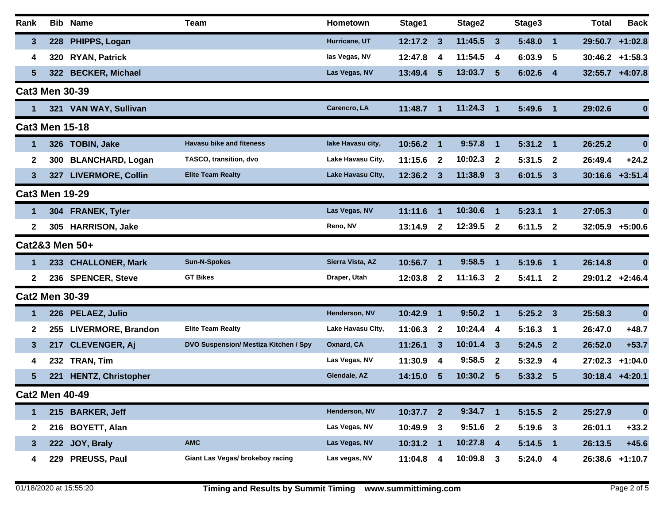| Rank           |                       | <b>Bib Name</b>           | Team                                  | Hometown          | Stage1    |              | Stage2                 |                         | Stage3     |                  | <b>Total</b> | <b>Back</b> |
|----------------|-----------------------|---------------------------|---------------------------------------|-------------------|-----------|--------------|------------------------|-------------------------|------------|------------------|--------------|-------------|
| 3              | 228                   | PHIPPS, Logan             |                                       | Hurricane, UT     | 12:17.2   | -3           | $11:45.\overline{5}$ 3 |                         | 5:48.0     | - 1              | 29:50.7      | $+1:02.8$   |
| 4              | 320                   | <b>RYAN, Patrick</b>      |                                       | las Vegas, NV     | 12:47.8   | 4            | 11:54.5                | $\overline{\mathbf{4}}$ | 6:03.9     | 5                | 30:46.2      | $+1:58.3$   |
| 5              | 322                   | <b>BECKER, Michael</b>    |                                       | Las Vegas, NV     | 13:49.4   | 5            | 13:03.7                | $\sqrt{5}$              | 6:02.6     | $\overline{4}$   | 32:55.7      | $+4:07.8$   |
|                | <b>Cat3 Men 30-39</b> |                           |                                       |                   |           |              |                        |                         |            |                  |              |             |
| 1              |                       | 321 VAN WAY, Sullivan     |                                       | Carencro, LA      | 11:48.7   | 1            | 11:24.3                | $\overline{1}$          | 5:49.6     | $\blacksquare$   | 29:02.6      | $\bf{0}$    |
|                | <b>Cat3 Men 15-18</b> |                           |                                       |                   |           |              |                        |                         |            |                  |              |             |
| 1              |                       | 326 TOBIN, Jake           | <b>Havasu bike and fiteness</b>       | lake Havasu city, | 10:56.2   | - 1          | 9:57.8                 | $\blacksquare$          | 5:31.2     | $\blacksquare$ 1 | 26:25.2      | $\bf{0}$    |
| 2              | 300                   | <b>BLANCHARD, Logan</b>   | TASCO, transition, dvo                | Lake Havasu City, | 11:15.6   | $\mathbf 2$  | 10:02.3                | $\overline{2}$          | 5:31.5     | - 2              | 26:49.4      | $+24.2$     |
| 3              | 327                   | <b>LIVERMORE, Collin</b>  | <b>Elite Team Realty</b>              | Lake Havasu Clty, | 12:36.2   | 3            | 11:38.9                | 3                       | 6:01.5     | - 3              | 30:16.6      | $+3:51.4$   |
|                | <b>Cat3 Men 19-29</b> |                           |                                       |                   |           |              |                        |                         |            |                  |              |             |
| 1.             |                       | 304 FRANEK, Tyler         |                                       | Las Vegas, NV     | 11:11.6   | $\mathbf{1}$ | 10:30.6                | $\blacksquare$ 1        | 5:23.1     | $\blacksquare$   | 27:05.3      | $\bf{0}$    |
| $\mathbf{2}$   |                       | 305 HARRISON, Jake        |                                       | Reno, NV          | 13:14.9   | $\mathbf{2}$ | 12:39.5                | $\mathbf{2}$            | 6:11.5     | -2               | 32:05.9      | $+5:00.6$   |
|                |                       | Cat2&3 Men 50+            |                                       |                   |           |              |                        |                         |            |                  |              |             |
| 1.             |                       | 233 CHALLONER, Mark       | <b>Sun-N-Spokes</b>                   | Sierra Vista, AZ  | 10:56.7   | $\mathbf 1$  | 9:58.5                 | $\blacksquare$ 1        | 5:19.6     | - 1              | 26:14.8      | $\bf{0}$    |
| 2              |                       | 236 SPENCER, Steve        | <b>GT Bikes</b>                       | Draper, Utah      | 12:03.8   | $\mathbf{2}$ | 11:16.3                | $\mathbf{2}$            | 5:41.1     | $\mathbf{2}$     | 29:01.2      | $+2:46.4$   |
|                | <b>Cat2 Men 30-39</b> |                           |                                       |                   |           |              |                        |                         |            |                  |              |             |
| 1              |                       | 226 PELAEZ, Julio         |                                       | Henderson, NV     | 10:42.9   | $\mathbf 1$  | 9:50.2                 | $\blacksquare$          | 5:25.2     | -3               | 25:58.3      | $\bf{0}$    |
| 2              | 255                   | LIVERMORE, Brandon        | <b>Elite Team Realty</b>              | Lake Havasu Clty, | 11:06.3   | $\mathbf{2}$ | 10:24.4                | $\overline{\mathbf{4}}$ | 5:16.3     | -1               | 26:47.0      | $+48.7$     |
| 3              | 217                   | <b>CLEVENGER, Aj</b>      | DVO Suspension/ Mestiza Kitchen / Spy | Oxnard, CA        | 11:26.1   | 3            | 10:01.4                | $\mathbf{3}$            | 5:24.5     | $\overline{2}$   | 26:52.0      | $+53.7$     |
| 4              | 232                   | TRAN, Tim                 |                                       | Las Vegas, NV     | 11:30.9   | -4           | 9:58.5                 | $\mathbf{2}$            | 5:32.9     | -4               | 27:02.3      | $+1:04.0$   |
| 5.             | 221                   | <b>HENTZ, Christopher</b> |                                       | Glendale, AZ      | 14:15.0   | 5            | 10:30.2                | $\sqrt{5}$              | 5:33.2     | -5               | 30:18.4      | $+4:20.1$   |
|                | <b>Cat2 Men 40-49</b> |                           |                                       |                   |           |              |                        |                         |            |                  |              |             |
| 1              |                       | 215 BARKER, Jeff          |                                       | Henderson, NV     | 10:37.7 2 |              | $9:34.7$ 1             |                         | $5:15.5$ 2 |                  | 25:27.9      | $\bf{0}$    |
| $\mathbf{2}$   | 216                   | <b>BOYETT, Alan</b>       |                                       | Las Vegas, NV     | 10:49.9 3 |              | $9:51.6$ 2             |                         | 5:19.6 3   |                  | 26:01.1      | $+33.2$     |
| 3 <sup>1</sup> | 222                   | JOY, Braly                | <b>AMC</b>                            | Las Vegas, NV     | 10:31.2 1 |              | 10:27.8 4              |                         | $5:14.5$ 1 |                  | 26:13.5      | $+45.6$     |
| 4              |                       | 229 PREUSS, Paul          | Giant Las Vegas/ brokeboy racing      | Las vegas, NV     | 11:04.8 4 |              | 10:09.8 3              |                         | $5:24.0$ 4 |                  | 26:38.6      | $+1:10.7$   |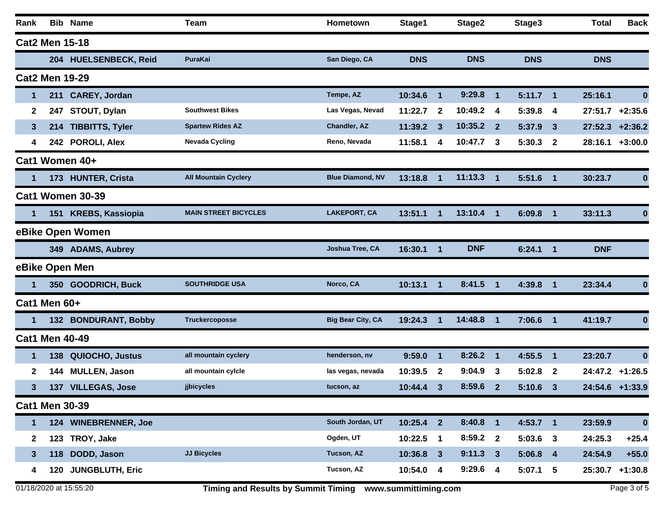| Rank                  |      | <b>Bib Name</b>         | Team                        | Hometown                 | Stage1      |              | Stage2     |                         | Stage3     |                  | <b>Total</b> | <b>Back</b> |
|-----------------------|------|-------------------------|-----------------------------|--------------------------|-------------|--------------|------------|-------------------------|------------|------------------|--------------|-------------|
| <b>Cat2 Men 15-18</b> |      |                         |                             |                          |             |              |            |                         |            |                  |              |             |
|                       |      | 204 HUELSENBECK, Reid   | PuraKai                     | San Diego, CA            | <b>DNS</b>  |              | <b>DNS</b> |                         | <b>DNS</b> |                  | <b>DNS</b>   |             |
| <b>Cat2 Men 19-29</b> |      |                         |                             |                          |             |              |            |                         |            |                  |              |             |
| 1                     | 211  | <b>CAREY, Jordan</b>    |                             | Tempe, AZ                | 10:34.6     | -1           | 9:29.8     | $\overline{\mathbf{1}}$ | 5:11.7     | $\blacksquare$ 1 | 25:16.1      | $\bf{0}$    |
| $\mathbf{2}$          | 247  | STOUT, Dylan            | <b>Southwest Bikes</b>      | Las Vegas, Nevad         | 11:22.7     | $\mathbf{2}$ | 10:49.2    | $\overline{4}$          | 5:39.8     | -4               | 27:51.7      | $+2:35.6$   |
| 3                     | 214  | <b>TIBBITTS, Tyler</b>  | <b>Spartew Rides AZ</b>     | Chandler, AZ             | 11:39.2     | 3            | 10:35.2    | $\overline{\mathbf{2}}$ | 5:37.9     | -3               | 27:52.3      | $+2:36.2$   |
| 4                     |      | 242 POROLI, Alex        | <b>Nevada Cycling</b>       | Reno, Nevada             | 11:58.1     | 4            | 10:47.7    | 3                       | 5:30.3     | $\mathbf{2}$     | 28:16.1      | $+3:00.0$   |
|                       |      | Cat1 Women 40+          |                             |                          |             |              |            |                         |            |                  |              |             |
| 1                     |      | 173 HUNTER, Crista      | <b>All Mountain Cyclery</b> | <b>Blue Diamond, NV</b>  | 13:18.8     | 1            | 11:13.3    | $\blacksquare$          | 5:51.6     | $\blacksquare$   | 30:23.7      | $\bf{0}$    |
|                       |      | <b>Cat1 Women 30-39</b> |                             |                          |             |              |            |                         |            |                  |              |             |
|                       | 151  | <b>KREBS, Kassiopia</b> | <b>MAIN STREET BICYCLES</b> | <b>LAKEPORT, CA</b>      | 13:51.1     | 1            | 13:10.4    | $\blacksquare$ 1        | 6:09.8     | $\blacksquare$   | 33:11.3      | 0           |
|                       |      | eBike Open Women        |                             |                          |             |              |            |                         |            |                  |              |             |
|                       |      | 349 ADAMS, Aubrey       |                             | Joshua Tree, CA          | 16:30.1     | 1            | <b>DNF</b> |                         | 6:24.1     | 1                | <b>DNF</b>   |             |
|                       |      | eBike Open Men          |                             |                          |             |              |            |                         |            |                  |              |             |
| 1                     |      | 350 GOODRICH, Buck      | <b>SOUTHRIDGE USA</b>       | Norco, CA                | 10:13.1     | -1           | 8:41.5     | $\blacktriangleleft$    | 4:39.8     | $\mathbf 1$      | 23:34.4      | $\bf{0}$    |
| Cat1 Men 60+          |      |                         |                             |                          |             |              |            |                         |            |                  |              |             |
| 1                     |      | 132 BONDURANT, Bobby    | <b>Truckercoposse</b>       | <b>Big Bear City, CA</b> | 19:24.3     | 1            | 14:48.8    | -1                      | 7:06.6     | $\blacksquare$   | 41:19.7      | $\bf{0}$    |
| <b>Cat1 Men 40-49</b> |      |                         |                             |                          |             |              |            |                         |            |                  |              |             |
| 1                     | 138  | QUIOCHO, Justus         | all mountain cyclery        | henderson, nv            | 9:59.0      | -1           | 8:26.2     | $\mathbf 1$             | 4:55.5     | $\mathbf 1$      | 23:20.7      | $\bf{0}$    |
| $\mathbf{2}$          | 144. | <b>MULLEN, Jason</b>    | all mountain cylcle         | las vegas, nevada        | 10:39.5     | $\mathbf{2}$ | 9:04.9     | 3                       | 5:02.8     | -2               | 24:47.2      | $+1:26.5$   |
| 3                     | 137  | <b>VILLEGAS, Jose</b>   | jjbicycles                  | tucson, az               | 10:44.4     | 3            | 8:59.6     | $\mathbf{2}$            | 5:10.6     | 3                | 24:54.6      | $+1:33.9$   |
| <b>Cat1 Men 30-39</b> |      |                         |                             |                          |             |              |            |                         |            |                  |              |             |
| $\mathbf{1}$          |      | 124 WINEBRENNER, Joe    |                             | South Jordan, UT         | $10:25.4$ 2 |              | $8:40.8$ 1 |                         | $4:53.7$ 1 |                  | 23:59.9      | $\bf{0}$    |
| $\mathbf{2}$          | 123  | TROY, Jake              |                             | Ogden, UT                | 10:22.5 1   |              | $8:59.2$ 2 |                         | $5:03.6$ 3 |                  | 24:25.3      | $+25.4$     |
| 3                     | 118  | DODD, Jason             | <b>JJ Bicycles</b>          | Tucson, AZ               | $10:36.8$ 3 |              | $9:11.3$ 3 |                         | $5:06.8$ 4 |                  | 24:54.9      | $+55.0$     |
| 4                     | 120  | <b>JUNGBLUTH, Eric</b>  |                             | Tucson, AZ               | 10:54.0 4   |              | $9:29.6$ 4 |                         | $5:07.1$ 5 |                  | 25:30.7      | $+1:30.8$   |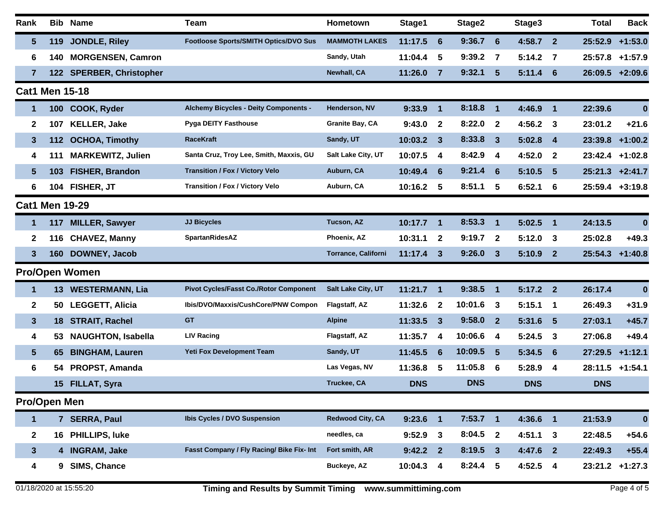| Rank                  |                       | <b>Bib Name</b>           | Team                                          | Hometown                   | Stage1     |                         | Stage2     |                         | Stage3     |                            | <b>Total</b> | <b>Back</b>       |
|-----------------------|-----------------------|---------------------------|-----------------------------------------------|----------------------------|------------|-------------------------|------------|-------------------------|------------|----------------------------|--------------|-------------------|
| $5\phantom{.0}$       |                       | 119 JONDLE, Riley         | <b>Footloose Sports/SMITH Optics/DVO Sus</b>  | <b>MAMMOTH LAKES</b>       | 11:17.5    | $-6$                    | $9:36.7$ 6 |                         | 4:58.7     | $\overline{\mathbf{2}}$    | 25:52.9      | $+1:53.0$         |
| 6                     | 140                   | <b>MORGENSEN, Camron</b>  |                                               | Sandy, Utah                | 11:04.4    | 5                       | 9:39.2     | $\overline{7}$          | 5:14.2     | - 7                        | 25:57.8      | $+1:57.9$         |
| $\mathbf{7}$          |                       | 122 SPERBER, Christopher  |                                               | Newhall, CA                | 11:26.0    | 7                       | 9:32.1     | 5                       | 5:11.4     | - 6                        | 26:09.5      | $+2:09.6$         |
| <b>Cat1 Men 15-18</b> |                       |                           |                                               |                            |            |                         |            |                         |            |                            |              |                   |
| 1                     |                       | 100 COOK, Ryder           | Alchemy Bicycles - Deity Components -         | Henderson, NV              | 9:33.9     | $\mathbf{1}$            | 8:18.8     | $\blacksquare$          | 4:46.9     | $\overline{1}$             | 22:39.6      | $\bf{0}$          |
| 2                     | 107                   | <b>KELLER, Jake</b>       | <b>Pyga DEITY Fasthouse</b>                   | Granite Bay, CA            | 9:43.0     | $\mathbf{2}$            | 8:22.0     | $\mathbf{2}$            | 4:56.2     | - 3                        | 23:01.2      | $+21.6$           |
| $\mathbf{3}$          | 112                   | <b>OCHOA, Timothy</b>     | <b>RaceKraft</b>                              | Sandy, UT                  | 10:03.2    | $\mathbf{3}$            | 8:33.8     | $\mathbf{3}$            | 5:02.8     | $\overline{\mathbf{4}}$    | 23:39.8      | $+1:00.2$         |
| 4                     | 111                   | <b>MARKEWITZ, Julien</b>  | Santa Cruz, Troy Lee, Smith, Maxxis, GU       | Salt Lake City, UT         | 10:07.5    | 4                       | 8:42.9     | $\overline{\mathbf{4}}$ | 4:52.0     | $\overline{\mathbf{2}}$    | 23:42.4      | $+1:02.8$         |
| $5\phantom{.0}$       | 103                   | FISHER, Brandon           | <b>Transition / Fox / Victory Velo</b>        | Auburn, CA                 | 10:49.4    | -6                      | 9:21.4     | 6                       | 5:10.5     | -5                         | 25:21.3      | $+2:41.7$         |
| 6                     | 104                   | <b>FISHER, JT</b>         | <b>Transition / Fox / Victory Velo</b>        | Auburn, CA                 | 10:16.2 5  |                         | 8:51.1     | 5                       | 6:52.1     | - 6                        |              | $25:59.4$ +3:19.8 |
|                       | <b>Cat1 Men 19-29</b> |                           |                                               |                            |            |                         |            |                         |            |                            |              |                   |
| 1                     | 117                   | <b>MILLER, Sawyer</b>     | <b>JJ Bicycles</b>                            | Tucson, AZ                 | 10:17.7 1  |                         | 8:53.3     | $\blacksquare$          | 5:02.5     | $\blacksquare$             | 24:13.5      | $\bf{0}$          |
| $\mathbf{2}$          | 116                   | <b>CHAVEZ, Manny</b>      | <b>SpartanRidesAZ</b>                         | Phoenix, AZ                | 10:31.1    | $\mathbf{2}$            | 9:19.7     | $\overline{2}$          | 5:12.0     | - 3                        | 25:02.8      | $+49.3$           |
| $\mathbf{3}$          | 160                   | DOWNEY, Jacob             |                                               | <b>Torrance, Californi</b> | 11:17.4    | 3                       | 9:26.0     | 3                       | 5:10.9     | -2                         | 25:54.3      | $+1:40.8$         |
|                       |                       | <b>Pro/Open Women</b>     |                                               |                            |            |                         |            |                         |            |                            |              |                   |
| 1                     |                       | 13 WESTERMANN, Lia        | <b>Pivot Cycles/Fasst Co./Rotor Component</b> | Salt Lake City, UT         | 11:21.7    | $\blacksquare$          | 9:38.5     | $\blacksquare$          | 5:17.2     | $\overline{\phantom{a}}$ 2 | 26:17.4      | $\bf{0}$          |
| $\mathbf 2$           |                       | 50 LEGGETT, Alicia        | Ibis/DVO/Maxxis/CushCore/PNW Compon           | Flagstaff, AZ              | 11:32.6    | $\mathbf{2}$            | 10:01.6    | 3                       | 5:15.1     | $\overline{\mathbf{1}}$    | 26:49.3      | $+31.9$           |
| $\mathbf{3}$          |                       | 18 STRAIT, Rachel         | <b>GT</b>                                     | <b>Alpine</b>              | 11:33.5    | $\mathbf{3}$            | 9:58.0     | $\overline{2}$          | 5:31.6     | -5                         | 27:03.1      | $+45.7$           |
| 4                     | 53                    | <b>NAUGHTON, Isabella</b> | <b>LIV Racing</b>                             | Flagstaff, AZ              | 11:35.7    | $\overline{\mathbf{4}}$ | 10:06.6    | $\overline{4}$          | 5:24.5     | 3                          | 27:06.8      | $+49.4$           |
| $5\phantom{.0}$       | 65                    | <b>BINGHAM, Lauren</b>    | Yeti Fox Development Team                     | Sandy, UT                  | 11:45.5    | 6                       | 10:09.5    | 5                       | 5:34.5     | - 6                        | 27:29.5      | $+1:12.1$         |
| 6                     | 54                    | PROPST, Amanda            |                                               | Las Vegas, NV              | 11:36.8    | 5                       | 11:05.8    | 6                       | 5:28.9     | -4                         | 28:11.5      | $+1:54.1$         |
|                       | 15                    | <b>FILLAT, Syra</b>       |                                               | <b>Truckee, CA</b>         | <b>DNS</b> |                         | <b>DNS</b> |                         | <b>DNS</b> |                            | <b>DNS</b>   |                   |
| Pro/Open Men          |                       |                           |                                               |                            |            |                         |            |                         |            |                            |              |                   |
| $\mathbf{1}$          |                       | 7 SERRA, Paul             | Ibis Cycles / DVO Suspension                  | Redwood City, CA           | $9:23.6$ 1 |                         | $7:53.7$ 1 |                         | 4:36.6     | $\blacksquare$             | 21:53.9      | $\bf{0}$          |
| $\mathbf 2$           |                       | 16 PHILLIPS, luke         |                                               | needles, ca                | $9:52.9$ 3 |                         | $8:04.5$ 2 |                         | $4:51.1$ 3 |                            | 22:48.5      | $+54.6$           |
| $\mathbf{3}$          |                       | 4 INGRAM, Jake            | Fasst Company / Fly Racing/ Bike Fix- Int     | Fort smith, AR             | $9:42.2$ 2 |                         | $8:19.5$ 3 |                         | 4:47.6 2   |                            | 22:49.3      | $+55.4$           |
| 4                     |                       | 9 SIMS, Chance            |                                               | Buckeye, AZ                | 10:04.3 4  |                         | $8:24.4$ 5 |                         | $4:52.5$ 4 |                            | 23:21.2      | $+1:27.3$         |